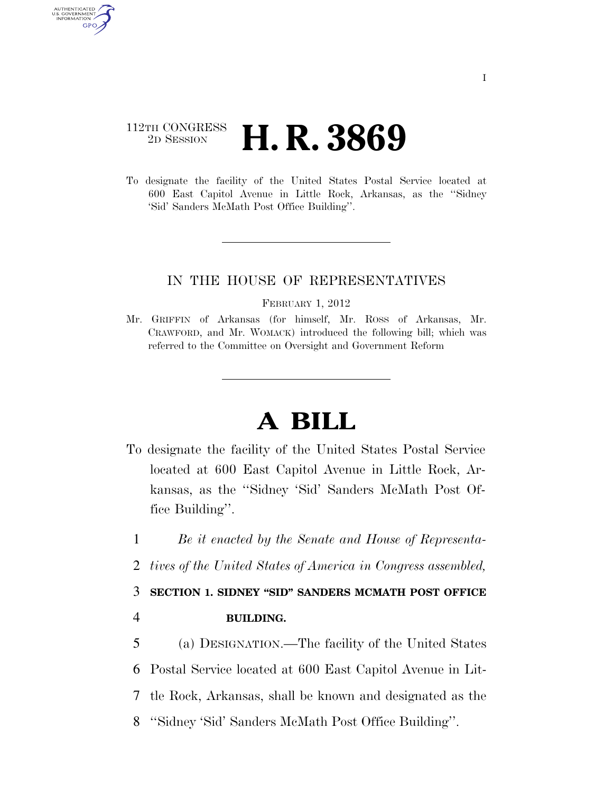## 112TH CONGRESS <sup>2D SESSION</sup> **H. R. 3869**

AUTHENTICATED U.S. GOVERNMENT **GPO** 

> To designate the facility of the United States Postal Service located at 600 East Capitol Avenue in Little Rock, Arkansas, as the ''Sidney 'Sid' Sanders McMath Post Office Building''.

## IN THE HOUSE OF REPRESENTATIVES

## FEBRUARY 1, 2012

Mr. GRIFFIN of Arkansas (for himself, Mr. ROSS of Arkansas, Mr. CRAWFORD, and Mr. WOMACK) introduced the following bill; which was referred to the Committee on Oversight and Government Reform

## **A BILL**

- To designate the facility of the United States Postal Service located at 600 East Capitol Avenue in Little Rock, Arkansas, as the ''Sidney 'Sid' Sanders McMath Post Office Building''.
- 1 *Be it enacted by the Senate and House of Representa-*
- 2 *tives of the United States of America in Congress assembled,*

3 **SECTION 1. SIDNEY ''SID'' SANDERS MCMATH POST OFFICE** 

4 **BUILDING.** 

 (a) DESIGNATION.—The facility of the United States Postal Service located at 600 East Capitol Avenue in Lit- tle Rock, Arkansas, shall be known and designated as the ''Sidney 'Sid' Sanders McMath Post Office Building''.